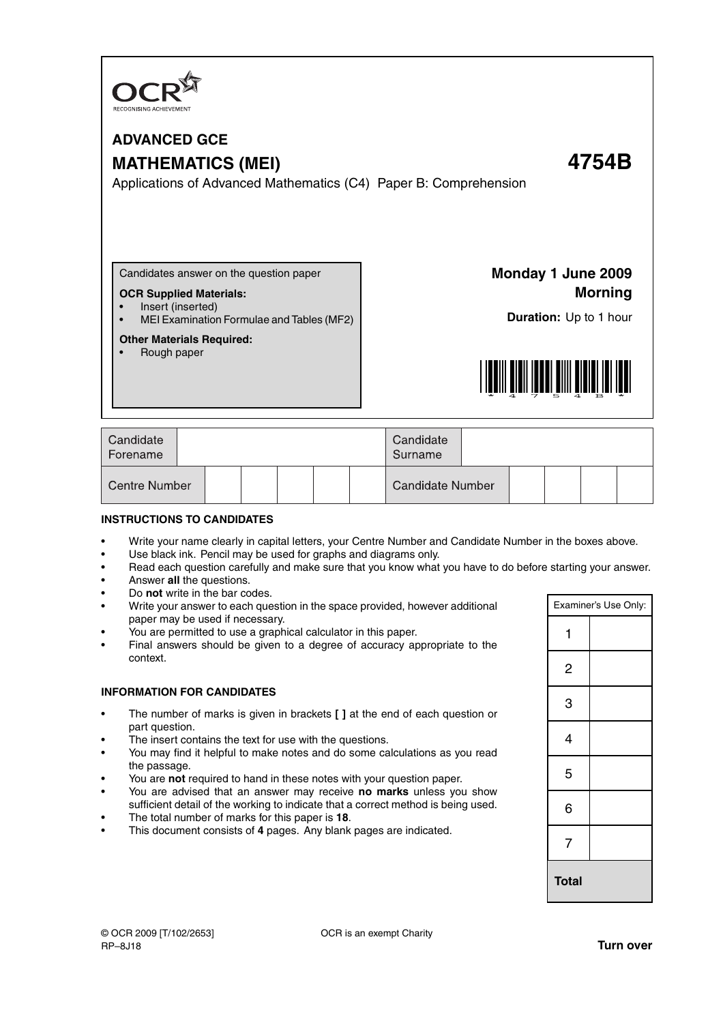

# **ADVANCED GCE MATHEMATICS (MEI) 4754B**

Applications of Advanced Mathematics (C4) Paper B: Comprehension

Candidates answer on the question paper

#### **OCR Supplied Materials:**

- Insert (inserted)
- MEI Examination Formulae and Tables (MF2)

#### **Other Materials Required:**

• Rough paper

**Monday 1 June 2009 Morning**

**Duration:** Up to 1 hour



| Candidate<br>Forename |  |  | Candidate<br>Surname    |  |  |  |
|-----------------------|--|--|-------------------------|--|--|--|
| <b>Centre Number</b>  |  |  | <b>Candidate Number</b> |  |  |  |

#### **INSTRUCTIONS TO CANDIDATES**

- Write your name clearly in capital letters, your Centre Number and Candidate Number in the boxes above.
- Use black ink. Pencil may be used for graphs and diagrams only.
- Read each question carefully and make sure that you know what you have to do before starting your answer.
- Answer **all** the questions.
- Do **not** write in the bar codes.
- Write your answer to each question in the space provided, however additional paper may be used if necessary.
- You are permitted to use a graphical calculator in this paper.
- Final answers should be given to a degree of accuracy appropriate to the context.

#### **INFORMATION FOR CANDIDATES**

- The number of marks is given in brackets **[ ]** at the end of each question or part question.
- The insert contains the text for use with the questions.
- You may find it helpful to make notes and do some calculations as you read the passage.
- You are **not** required to hand in these notes with your question paper.
- You are advised that an answer may receive **no marks** unless you show sufficient detail of the working to indicate that a correct method is being used.
- The total number of marks for this paper is **18**.
- This document consists of **4** pages. Any blank pages are indicated.

| Examiner's Use Only: |              |  |  |  |  |
|----------------------|--------------|--|--|--|--|
| 1                    |              |  |  |  |  |
|                      |              |  |  |  |  |
| 2                    |              |  |  |  |  |
|                      |              |  |  |  |  |
|                      |              |  |  |  |  |
| 3                    |              |  |  |  |  |
|                      |              |  |  |  |  |
| 4                    |              |  |  |  |  |
|                      |              |  |  |  |  |
| 5                    |              |  |  |  |  |
|                      |              |  |  |  |  |
| 6                    |              |  |  |  |  |
|                      |              |  |  |  |  |
| 7                    |              |  |  |  |  |
|                      |              |  |  |  |  |
|                      | <b>Total</b> |  |  |  |  |
|                      |              |  |  |  |  |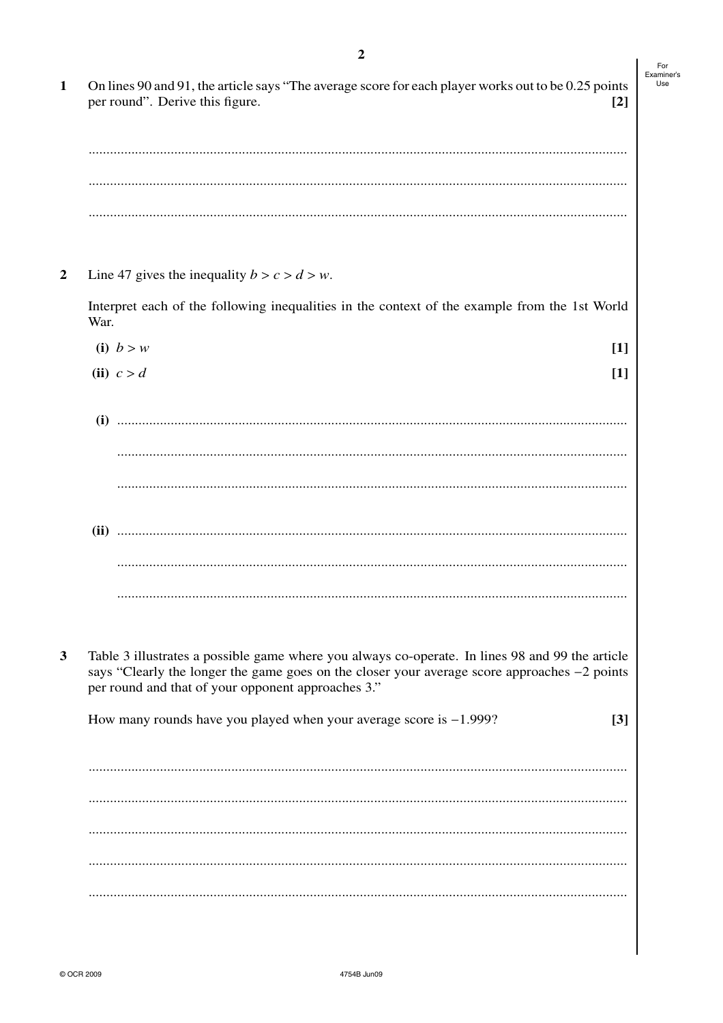| On lines 90 and 91, the article says "The average score for each player works out to be 0.25 points                                                                                             |       |
|-------------------------------------------------------------------------------------------------------------------------------------------------------------------------------------------------|-------|
| per round". Derive this figure.                                                                                                                                                                 | $[2]$ |
|                                                                                                                                                                                                 |       |
|                                                                                                                                                                                                 |       |
|                                                                                                                                                                                                 |       |
|                                                                                                                                                                                                 |       |
|                                                                                                                                                                                                 |       |
|                                                                                                                                                                                                 |       |
| Line 47 gives the inequality $b > c > d > w$ .                                                                                                                                                  |       |
| Interpret each of the following inequalities in the context of the example from the 1st World<br>War.                                                                                           |       |
| (i) $b > w$                                                                                                                                                                                     | $[1]$ |
| (ii) $c > d$                                                                                                                                                                                    | $[1]$ |
|                                                                                                                                                                                                 |       |
| (i)                                                                                                                                                                                             |       |
|                                                                                                                                                                                                 |       |
|                                                                                                                                                                                                 |       |
|                                                                                                                                                                                                 |       |
|                                                                                                                                                                                                 |       |
|                                                                                                                                                                                                 |       |
|                                                                                                                                                                                                 |       |
|                                                                                                                                                                                                 |       |
|                                                                                                                                                                                                 |       |
| Table 3 illustrates a possible game where you always co-operate. In lines 98 and 99 the article<br>says "Clearly the longer the game goes on the closer your average score approaches -2 points |       |
| per round and that of your opponent approaches 3."                                                                                                                                              |       |
| How many rounds have you played when your average score is $-1.999$ ?                                                                                                                           | $[3]$ |
|                                                                                                                                                                                                 |       |
|                                                                                                                                                                                                 |       |
|                                                                                                                                                                                                 |       |
|                                                                                                                                                                                                 |       |
|                                                                                                                                                                                                 |       |
|                                                                                                                                                                                                 |       |

 $\overline{2}$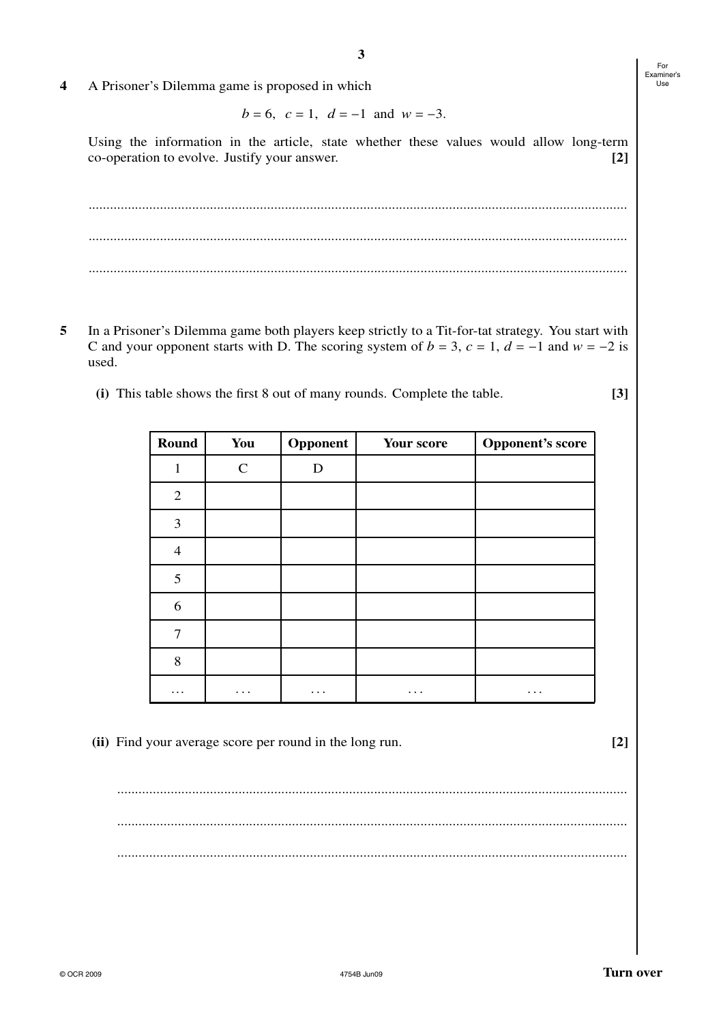4 A Prisoner's Dilemma game is proposed in which

*b* = 6,  $c = 1$ ,  $d = -1$  and  $w = -3$ .

Using the information in the article, state whether these values would allow long-term co-operation to evolve. Justify your answer. **[2]**

**3**

....................................................................................................................................................... ....................................................................................................................................................... .......................................................................................................................................................

- **5** In a Prisoner's Dilemma game both players keep strictly to a Tit-for-tat strategy. You start with C and your opponent starts with D. The scoring system of  $b = 3$ ,  $c = 1$ ,  $d = -1$  and  $w = -2$  is used.
	- **(i)** This table shows the first 8 out of many rounds. Complete the table. **[3]**

| Round          | You          | Opponent | Your score | <b>Opponent's score</b> |
|----------------|--------------|----------|------------|-------------------------|
| $\mathbf{1}$   | $\mathsf{C}$ | D        |            |                         |
| $\overline{2}$ |              |          |            |                         |
| 3              |              |          |            |                         |
| $\overline{4}$ |              |          |            |                         |
| 5              |              |          |            |                         |
| 6              |              |          |            |                         |
| 7              |              |          |            |                         |
| 8              |              |          |            |                         |
| $\ddotsc$      | $\cdots$     | $\cdots$ | $\cdots$   | .                       |

**(ii)** Find your average score per round in the long run. **[2]**

............................................................................................................................................... ............................................................................................................................................... ...............................................................................................................................................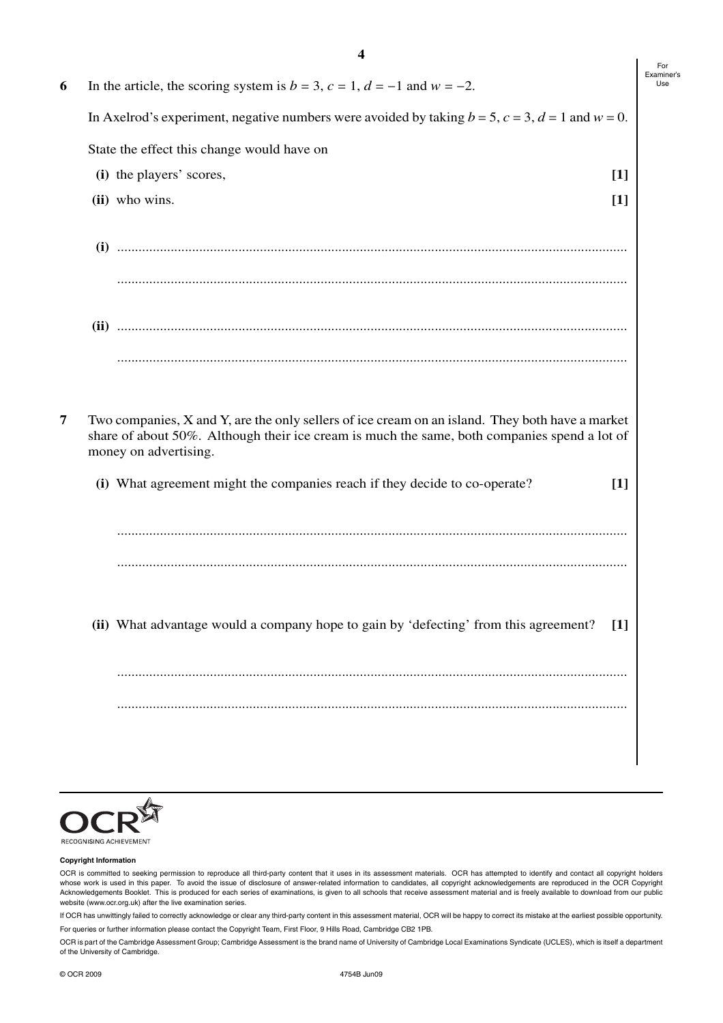| In the article, the scoring system is $b = 3$ , $c = 1$ , $d = -1$ and $w = -2$ .<br>In Axelrod's experiment, negative numbers were avoided by taking $b = 5$ , $c = 3$ , $d = 1$ and $w = 0$ .<br>State the effect this change would have on<br>(i) the players' scores,<br>(ii) who wins.<br>Two companies, X and Y, are the only sellers of ice cream on an island. They both have a market<br>share of about 50%. Although their ice cream is much the same, both companies spend a lot of<br>money on advertising.<br>(i) What agreement might the companies reach if they decide to co-operate? | $[1]$<br>$[1]$ |
|-------------------------------------------------------------------------------------------------------------------------------------------------------------------------------------------------------------------------------------------------------------------------------------------------------------------------------------------------------------------------------------------------------------------------------------------------------------------------------------------------------------------------------------------------------------------------------------------------------|----------------|
|                                                                                                                                                                                                                                                                                                                                                                                                                                                                                                                                                                                                       |                |
|                                                                                                                                                                                                                                                                                                                                                                                                                                                                                                                                                                                                       |                |
|                                                                                                                                                                                                                                                                                                                                                                                                                                                                                                                                                                                                       |                |
|                                                                                                                                                                                                                                                                                                                                                                                                                                                                                                                                                                                                       |                |
|                                                                                                                                                                                                                                                                                                                                                                                                                                                                                                                                                                                                       |                |
|                                                                                                                                                                                                                                                                                                                                                                                                                                                                                                                                                                                                       |                |
|                                                                                                                                                                                                                                                                                                                                                                                                                                                                                                                                                                                                       |                |
|                                                                                                                                                                                                                                                                                                                                                                                                                                                                                                                                                                                                       |                |
|                                                                                                                                                                                                                                                                                                                                                                                                                                                                                                                                                                                                       |                |
|                                                                                                                                                                                                                                                                                                                                                                                                                                                                                                                                                                                                       | $[1]$          |
|                                                                                                                                                                                                                                                                                                                                                                                                                                                                                                                                                                                                       |                |
|                                                                                                                                                                                                                                                                                                                                                                                                                                                                                                                                                                                                       |                |
| (ii) What advantage would a company hope to gain by 'defecting' from this agreement?                                                                                                                                                                                                                                                                                                                                                                                                                                                                                                                  | $[1]$          |
|                                                                                                                                                                                                                                                                                                                                                                                                                                                                                                                                                                                                       |                |
|                                                                                                                                                                                                                                                                                                                                                                                                                                                                                                                                                                                                       |                |
|                                                                                                                                                                                                                                                                                                                                                                                                                                                                                                                                                                                                       |                |



#### **Copyright Information**

OCR is committed to seeking permission to reproduce all third-party content that it uses in its assessment materials. OCR has attempted to identify and contact all copyright holders whose work is used in this paper. To avoid the issue of disclosure of answer-related information to candidates, all copyright acknowledgements are reproduced in the OCR Copyright Acknowledgements Booklet. This is produced for each series of examinations, is given to all schools that receive assessment material and is freely available to download from our public website (www.ocr.org.uk) after the live examination series.

If OCR has unwittingly failed to correctly acknowledge or clear any third-party content in this assessment material, OCR will be happy to correct its mistake at the earliest possible opportunity.

For queries or further information please contact the Copyright Team, First Floor, 9 Hills Road, Cambridge CB2 1PB.

OCR is part of the Cambridge Assessment Group; Cambridge Assessment is the brand name of University of Cambridge Local Examinations Syndicate (UCLES), which is itself a department of the University of Cambridge.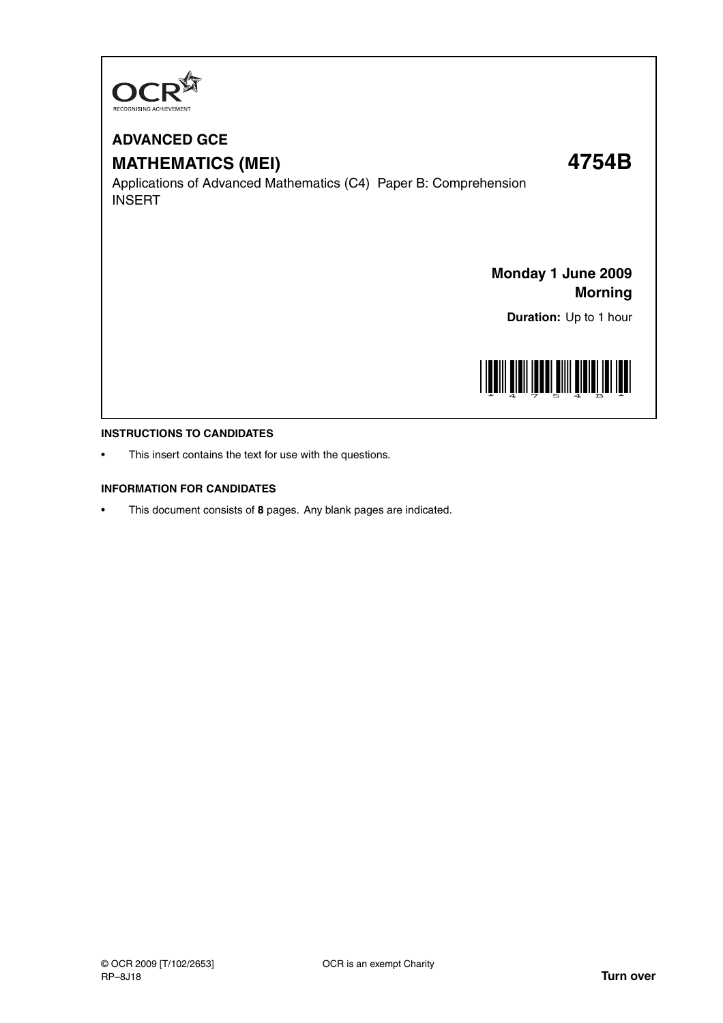

# **ADVANCED GCE MATHEMATICS (MEI) 4754B**

Applications of Advanced Mathematics (C4) Paper B: Comprehension INSERT

**Monday 1 June 2009 Morning**

**Duration:** Up to 1 hour



#### **INSTRUCTIONS TO CANDIDATES**

This insert contains the text for use with the questions.

#### **INFORMATION FOR CANDIDATES**

• This document consists of **8** pages. Any blank pages are indicated.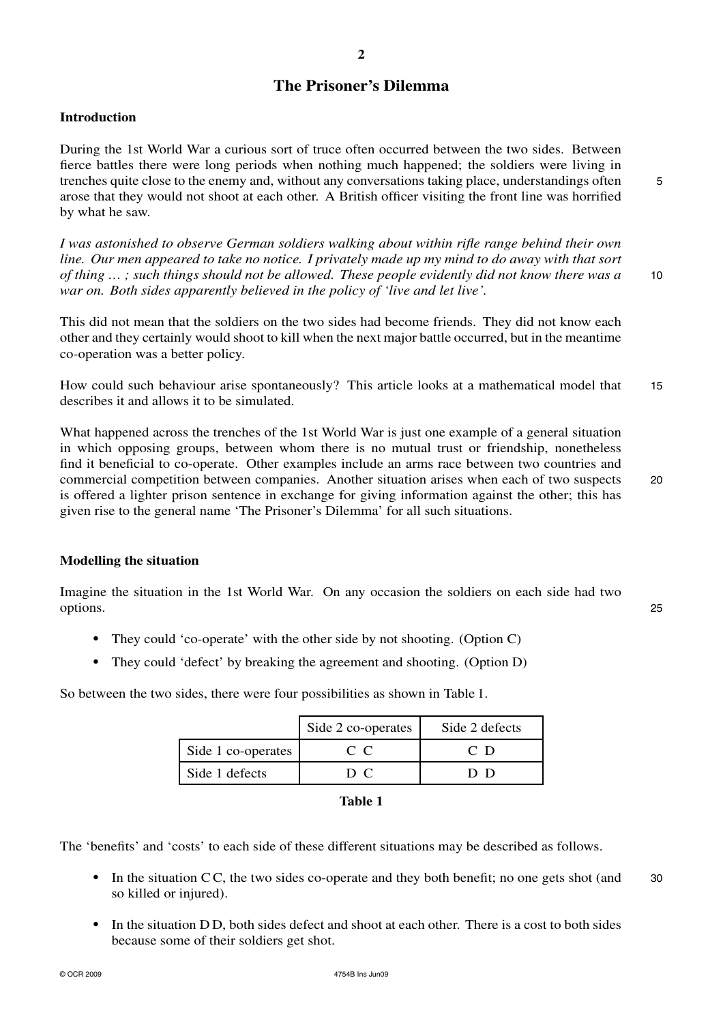## **The Prisoner's Dilemma**

#### **Introduction**

During the 1st World War a curious sort of truce often occurred between the two sides. Between fierce battles there were long periods when nothing much happened; the soldiers were living in trenches quite close to the enemy and, without any conversations taking place, understandings often 5 arose that they would not shoot at each other. A British officer visiting the front line was horrified by what he saw.

*I was astonished to observe German soldiers walking about within rifle range behind their own line. Our men appeared to take no notice. I privately made up my mind to do away with that sort of thing … ; such things should not be allowed. These people evidently did not know there was a* 10 *war on. Both sides apparently believed in the policy of 'live and let live'.*

This did not mean that the soldiers on the two sides had become friends. They did not know each other and they certainly would shoot to kill when the next major battle occurred, but in the meantime co-operation was a better policy.

How could such behaviour arise spontaneously? This article looks at a mathematical model that 15 describes it and allows it to be simulated.

What happened across the trenches of the 1st World War is just one example of a general situation in which opposing groups, between whom there is no mutual trust or friendship, nonetheless find it beneficial to co-operate. Other examples include an arms race between two countries and commercial competition between companies. Another situation arises when each of two suspects 20 is offered a lighter prison sentence in exchange for giving information against the other; this has given rise to the general name 'The Prisoner's Dilemma' for all such situations.

### **Modelling the situation**

Imagine the situation in the 1st World War. On any occasion the soldiers on each side had two options. 25

- They could 'co-operate' with the other side by not shooting. (Option C)
- **•** They could 'defect' by breaking the agreement and shooting. (Option D)

So between the two sides, there were four possibilities as shown in Table 1.

|                    | Side 2 co-operates | Side 2 defects |
|--------------------|--------------------|----------------|
| Side 1 co-operates | $C_{\rm C}$        | C D            |
| Side 1 defects     | D C                |                |

| ını<br>н |  |
|----------|--|
|----------|--|

The 'benefits' and 'costs' to each side of these different situations may be described as follows.

- In the situation CC, the two sides co-operate and they both benefit; no one gets shot (and 30) so killed or injured).
- In the situation DD, both sides defect and shoot at each other. There is a cost to both sides because some of their soldiers get shot.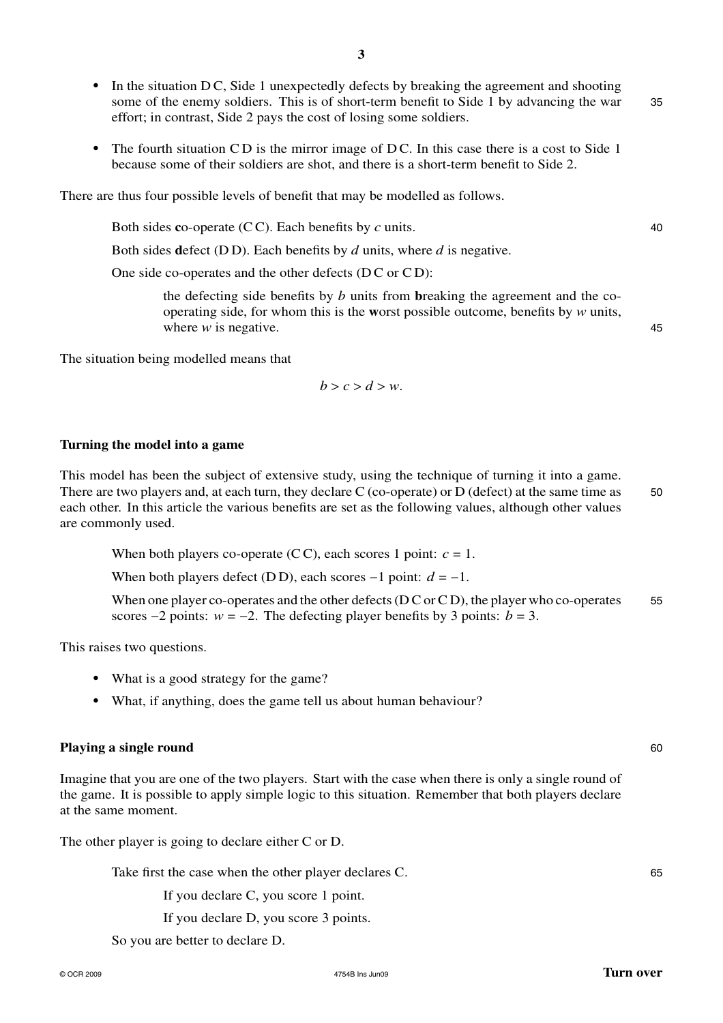some of the enemy soldiers. This is of short-term benefit to Side 1 by advancing the war 35 effort; in contrast, Side 2 pays the cost of losing some soldiers.

• In the situation D C, Side 1 unexpectedly defects by breaking the agreement and shooting

**3**

• The fourth situation CD is the mirror image of DC. In this case there is a cost to Side 1 because some of their soldiers are shot, and there is a short-term benefit to Side 2.

There are thus four possible levels of benefit that may be modelled as follows.

Both sides **c**o-operate (CC). Each benefits by *c* units. 40

Both sides **d**efect (D D). Each benefits by *d* units, where *d* is negative.

One side co-operates and the other defects (DC or CD):

the defecting side benefits by *b* units from **b**reaking the agreement and the cooperating side, for whom this is the **w**orst possible outcome, benefits by *w* units, where *w* is negative. 45

The situation being modelled means that

$$
b > c > d > w.
$$

#### **Turning the model into a game**

This model has been the subject of extensive study, using the technique of turning it into a game. There are two players and, at each turn, they declare C (co-operate) or D (defect) at the same time as 50 each other. In this article the various benefits are set as the following values, although other values are commonly used.

When both players co-operate (CC), each scores 1 point:  $c = 1$ .

When both players defect (DD), each scores  $-1$  point:  $d = -1$ .

When one player co-operates and the other defects  $(D C or C D)$ , the player who co-operates 55 scores  $-2$  points:  $w = -2$ . The defecting player benefits by 3 points:  $b = 3$ .

This raises two questions.

- What is a good strategy for the game?
- What, if anything, does the game tell us about human behaviour?

#### **Playing a single round** 60

Imagine that you are one of the two players. Start with the case when there is only a single round of the game. It is possible to apply simple logic to this situation. Remember that both players declare at the same moment.

The other player is going to declare either C or D.

Take first the case when the other player declares C. 65

If you declare C, you score 1 point.

If you declare D, you score 3 points.

So you are better to declare D.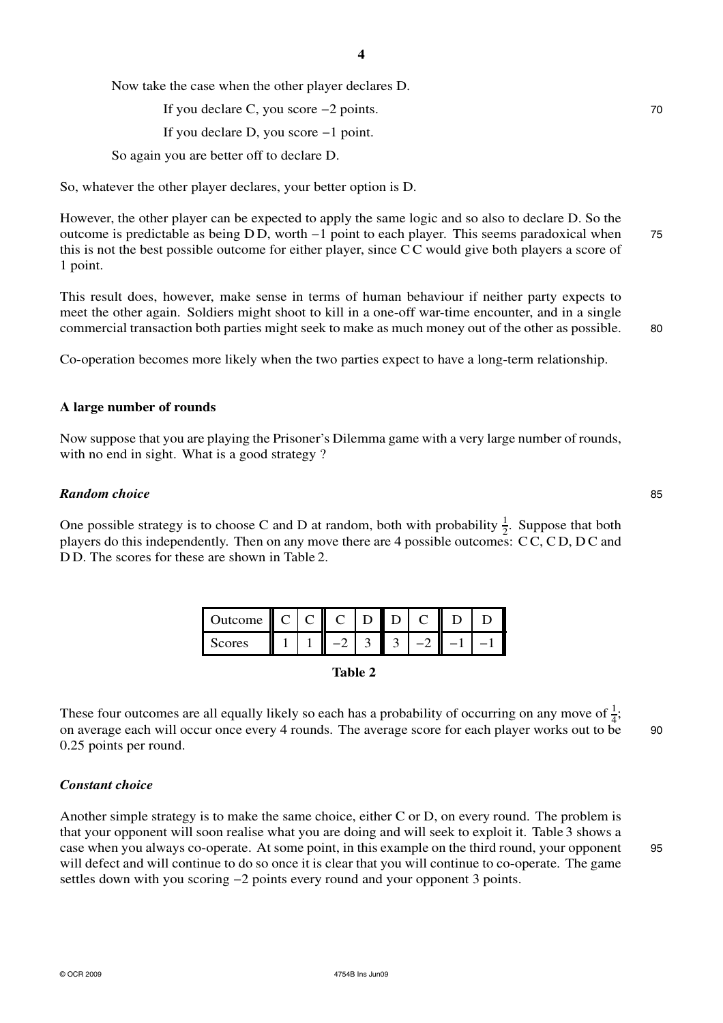Now take the case when the other player declares D.

If you declare C, you score −2 points. 70

If you declare D, you score −1 point.

So again you are better off to declare D.

So, whatever the other player declares, your better option is D.

However, the other player can be expected to apply the same logic and so also to declare D. So the outcome is predictable as being D D, worth −1 point to each player. This seems paradoxical when 75 this is not the best possible outcome for either player, since C C would give both players a score of 1 point.

This result does, however, make sense in terms of human behaviour if neither party expects to meet the other again. Soldiers might shoot to kill in a one-off war-time encounter, and in a single commercial transaction both parties might seek to make as much money out of the other as possible. 80

Co-operation becomes more likely when the two parties expect to have a long-term relationship.

#### **A large number of rounds**

Now suppose that you are playing the Prisoner's Dilemma game with a very large number of rounds, with no end in sight. What is a good strategy ?

#### *Random choice* 85

One possible strategy is to choose C and D at random, both with probability  $\frac{1}{2}$ . Suppose that both players do this independently. Then on any move there are 4 possible outcomes: C C, C D, D C and D D. The scores for these are shown in Table 2.

| Ш<br><b>Jutcome</b> |  | II |  |  |  |
|---------------------|--|----|--|--|--|
| cores               |  |    |  |  |  |

**Table 2**

These four outcomes are all equally likely so each has a probability of occurring on any move of  $\frac{1}{4}$ ; on average each will occur once every 4 rounds. The average score for each player works out to be 90 0.25 points per round.

### *Constant choice*

Another simple strategy is to make the same choice, either C or D, on every round. The problem is that your opponent will soon realise what you are doing and will seek to exploit it. Table 3 shows a case when you always co-operate. At some point, in this example on the third round, your opponent 95 will defect and will continue to do so once it is clear that you will continue to co-operate. The game settles down with you scoring −2 points every round and your opponent 3 points.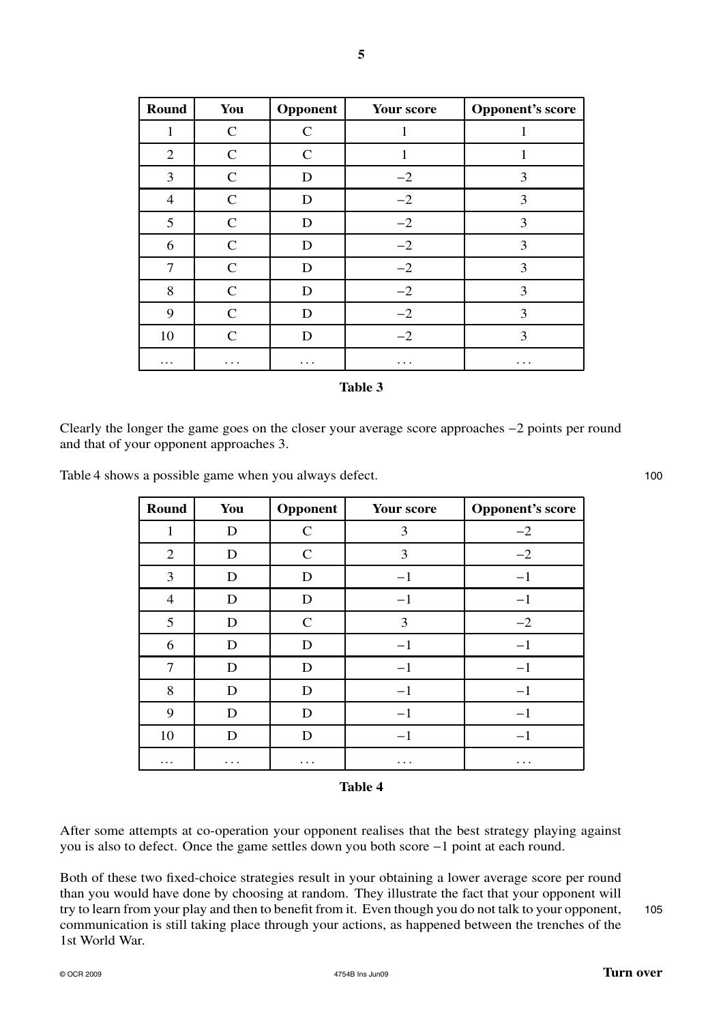| Round          | You           | Opponent                    | <b>Your score</b> | <b>Opponent's score</b> |
|----------------|---------------|-----------------------------|-------------------|-------------------------|
| 1              | $\mathcal{C}$ | $\mathcal{C}_{\mathcal{C}}$ | 1                 |                         |
| 2              | C             | C                           | 1                 |                         |
| 3              | $\mathsf{C}$  | D                           | $-2$              | 3                       |
| $\overline{4}$ | $\mathsf{C}$  | D                           | $-2$              | 3                       |
| 5              | $\mathsf{C}$  | D                           | $-2$              | 3                       |
| 6              | $\mathcal{C}$ | D                           | $-2$              | 3                       |
| 7              | $\mathcal{C}$ | D                           | $-2$              | 3                       |
| 8              | $\mathcal{C}$ | D                           | $-2$              | 3                       |
| 9              | $\mathsf{C}$  | D                           | $-2$              | 3                       |
| 10             | $\mathsf{C}$  | D                           | $-2$              | 3                       |
| $\cdots$       | $\cdots$      | .                           | $\cdots$          | $\cdots$                |

**5**

| mı<br>я |  |
|---------|--|
|---------|--|

Clearly the longer the game goes on the closer your average score approaches −2 points per round and that of your opponent approaches 3.

Table 4 shows a possible game when you always defect. 100

| Round          | You | Opponent     | Your score | <b>Opponent's score</b> |
|----------------|-----|--------------|------------|-------------------------|
| 1              | D   | $\mathsf{C}$ | 3          | $-2$                    |
| $\overline{2}$ | D   | $\mathbf C$  | 3          | $-2$                    |
| 3              | D   | D            | $-1$       | $-1$                    |
| $\overline{4}$ | D   | D            | $-1$       | $-1$                    |
| 5              | D   | $\mathbf C$  | 3          | $-2$                    |
| 6              | D   | D            | $-1$       | $-1$                    |
| 7              | D   | D            | $-1$       | $-1$                    |
| 8              | D   | D            | $-1$       | $-1$                    |
| 9              | D   | D            | $-1$       | $^{-1}$                 |
| 10             | D   | D            | $-1$       | $^{-1}$                 |
| .              | .   | .            | .          | .                       |

#### **Table 4**

After some attempts at co-operation your opponent realises that the best strategy playing against you is also to defect. Once the game settles down you both score −1 point at each round.

Both of these two fixed-choice strategies result in your obtaining a lower average score per round than you would have done by choosing at random. They illustrate the fact that your opponent will try to learn from your play and then to benefit from it. Even though you do not talk to your opponent, 105 communication is still taking place through your actions, as happened between the trenches of the 1st World War.

## $\circ$  OCR 2009 **Turn over**  $\bullet$  4754B Ins Jun09  $\bullet$  4754B Ins Jun09  $\bullet$  **Turn over**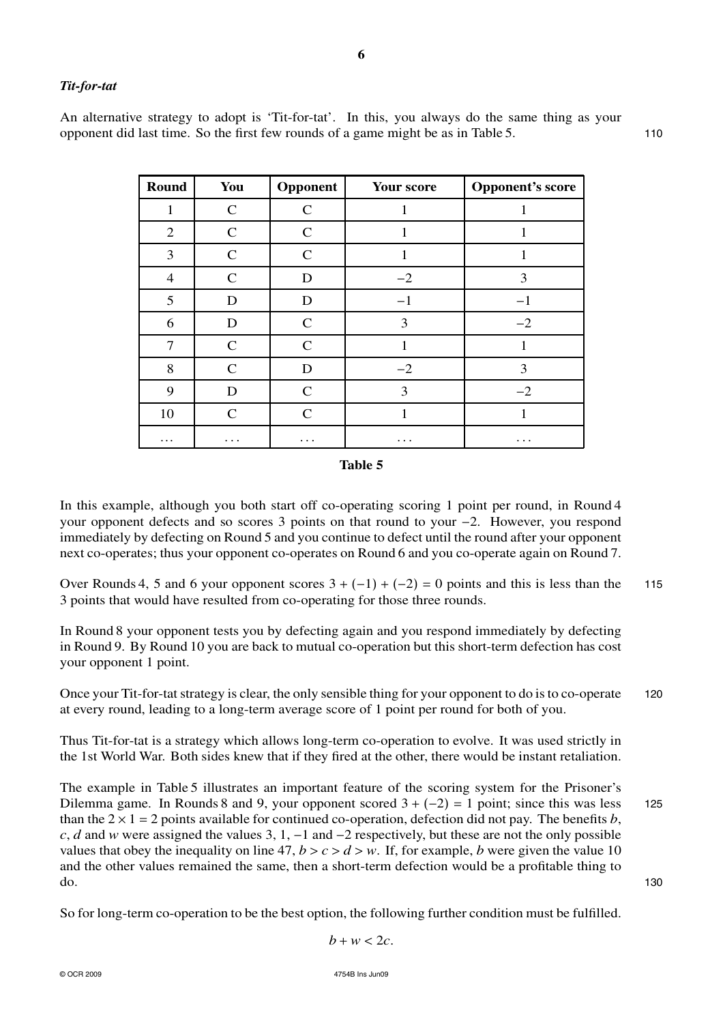## *Tit-for-tat*

An alternative strategy to adopt is 'Tit-for-tat'. In this, you always do the same thing as your opponent did last time. So the first few rounds of a game might be as in Table 5. 110

| Round          | You           | Opponent      | Your score | <b>Opponent's score</b> |
|----------------|---------------|---------------|------------|-------------------------|
| 1              | $\mathsf{C}$  | $\mathbf C$   | 1          | 1                       |
| 2              | $\mathsf{C}$  | $\mathbf C$   | 1          | 1                       |
| 3              | $\mathcal{C}$ | C             |            | 1                       |
| $\overline{4}$ | $\mathsf{C}$  | D             | $-2$       | 3                       |
| 5              | D             | D             | $-1$       | $-1$                    |
| 6              | D             | $\mathcal{C}$ | 3          | $-2$                    |
| 7              | $\mathcal{C}$ | $\mathcal{C}$ |            |                         |
| 8              | $\mathcal{C}$ | D             | $-2$       | 3                       |
| 9              | D             | $\mathcal{C}$ | 3          | $-2$                    |
| 10             | $\mathsf{C}$  | $\mathcal{C}$ | 1          |                         |
| .              |               | .             |            | .                       |

#### **Table 5**

In this example, although you both start off co-operating scoring 1 point per round, in Round 4 your opponent defects and so scores 3 points on that round to your −2. However, you respond immediately by defecting on Round 5 and you continue to defect until the round after your opponent next co-operates; thus your opponent co-operates on Round 6 and you co-operate again on Round 7.

Over Rounds 4, 5 and 6 your opponent scores  $3 + (-1) + (-2) = 0$  points and this is less than the 115 3 points that would have resulted from co-operating for those three rounds.

In Round 8 your opponent tests you by defecting again and you respond immediately by defecting in Round 9. By Round 10 you are back to mutual co-operation but this short-term defection has cost your opponent 1 point.

Once your Tit-for-tat strategy is clear, the only sensible thing for your opponent to do is to co-operate 120 at every round, leading to a long-term average score of 1 point per round for both of you.

Thus Tit-for-tat is a strategy which allows long-term co-operation to evolve. It was used strictly in the 1st World War. Both sides knew that if they fired at the other, there would be instant retaliation.

The example in Table 5 illustrates an important feature of the scoring system for the Prisoner's Dilemma game. In Rounds 8 and 9, your opponent scored  $3 + (-2) = 1$  point; since this was less 125 than the  $2 \times 1 = 2$  points available for continued co-operation, defection did not pay. The benefits *b*, *c*, *d* and *w* were assigned the values 3, 1, −1 and −2 respectively, but these are not the only possible values that obey the inequality on line 47,  $b > c > d > w$ . If, for example, *b* were given the value 10 and the other values remained the same, then a short-term defection would be a profitable thing to  $\sim$  130

So for long-term co-operation to be the best option, the following further condition must be fulfilled.

$$
b+w<2c.
$$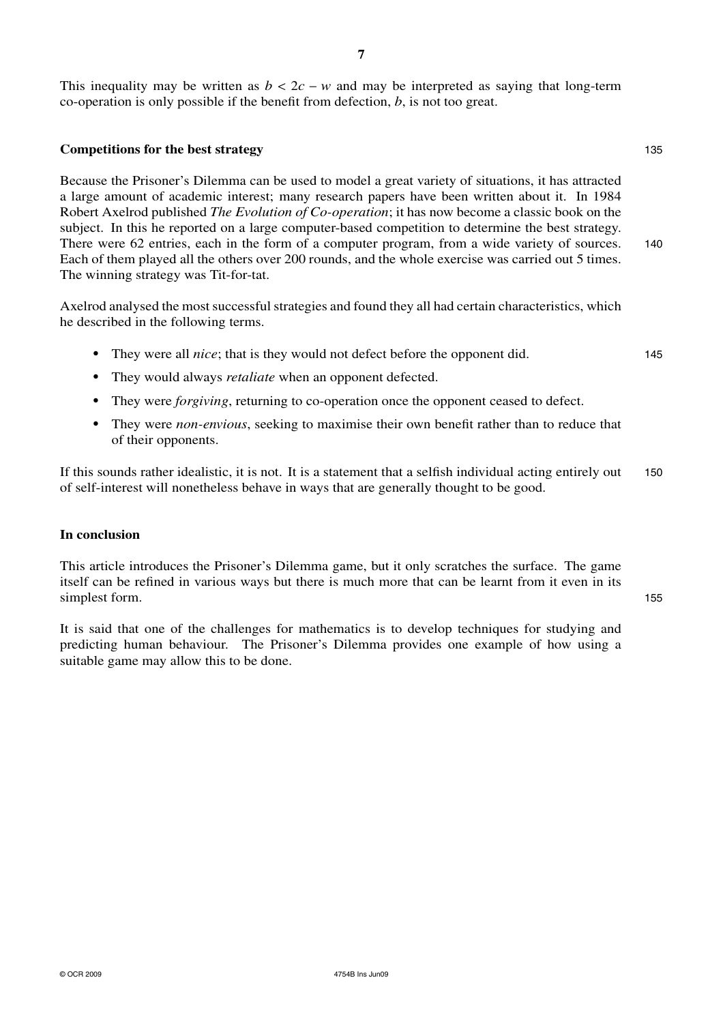This inequality may be written as  $b < 2c - w$  and may be interpreted as saying that long-term co-operation is only possible if the benefit from defection, *b*, is not too great.

#### **Competitions for the best strategy** 135

Because the Prisoner's Dilemma can be used to model a great variety of situations, it has attracted a large amount of academic interest; many research papers have been written about it. In 1984 Robert Axelrod published *The Evolution of Co-operation*; it has now become a classic book on the subject. In this he reported on a large computer-based competition to determine the best strategy. There were 62 entries, each in the form of a computer program, from a wide variety of sources. 140 Each of them played all the others over 200 rounds, and the whole exercise was carried out 5 times. The winning strategy was Tit-for-tat.

Axelrod analysed the most successful strategies and found they all had certain characteristics, which he described in the following terms.

- **•** They were all *nice*; that is they would not defect before the opponent did. 145
- **•** They would always *retaliate* when an opponent defected.
- **•** They were *forgiving*, returning to co-operation once the opponent ceased to defect.
- **•** They were *non-envious*, seeking to maximise their own benefit rather than to reduce that of their opponents.

If this sounds rather idealistic, it is not. It is a statement that a selfish individual acting entirely out 150 of self-interest will nonetheless behave in ways that are generally thought to be good.

#### **In conclusion**

This article introduces the Prisoner's Dilemma game, but it only scratches the surface. The game itself can be refined in various ways but there is much more that can be learnt from it even in its simplest form. 155

It is said that one of the challenges for mathematics is to develop techniques for studying and predicting human behaviour. The Prisoner's Dilemma provides one example of how using a suitable game may allow this to be done.